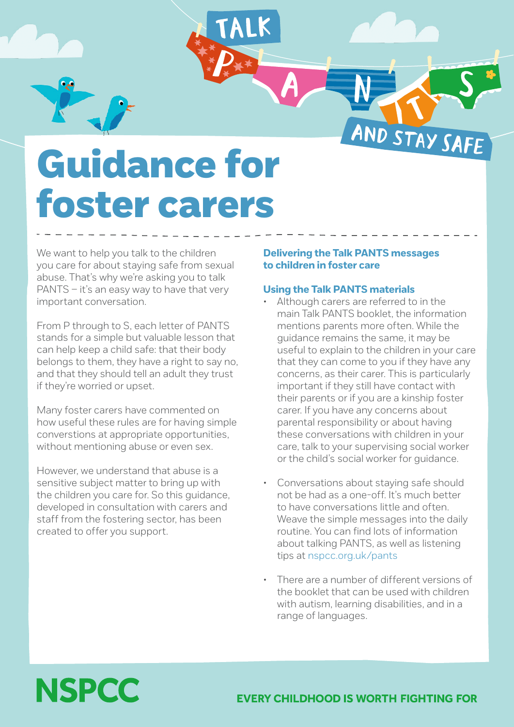

# Guidance for foster carers

We want to help you talk to the children you care for about staying safe from sexual abuse. That's why we're asking you to talk PANTS – it's an easy way to have that very important conversation.

From P through to S, each letter of PANTS stands for a simple but valuable lesson that can help keep a child safe: that their body belongs to them, they have a right to say no, and that they should tell an adult they trust if they're worried or upset.

Many foster carers have commented on how useful these rules are for having simple converstions at appropriate opportunities, without mentioning abuse or even sex.

However, we understand that abuse is a sensitive subject matter to bring up with the children you care for. So this guidance, developed in consultation with carers and staff from the fostering sector, has been created to offer you support.

### **Delivering the Talk PANTS messages to children in foster care**

#### **Using the Talk PANTS materials**

- Although carers are referred to in the main Talk PANTS booklet, the information mentions parents more often. While the guidance remains the same, it may be useful to explain to the children in your care that they can come to you if they have any concerns, as their carer. This is particularly important if they still have contact with their parents or if you are a kinship foster carer. If you have any concerns about parental responsibility or about having these conversations with children in your care, talk to your supervising social worker or the child's social worker for guidance.
- Conversations about staying safe should not be had as a one-off. It's much better to have conversations little and often. Weave the simple messages into the daily routine. You can find lots of information about talking PANTS, as well as listening tips at [nspcc.org.uk/pants](http://www.nspcc.org.uk/pants)
- There are a number of different versions of the booklet that can be used with children with autism, learning disabilities, and in a range of languages.

# **NSPCC**